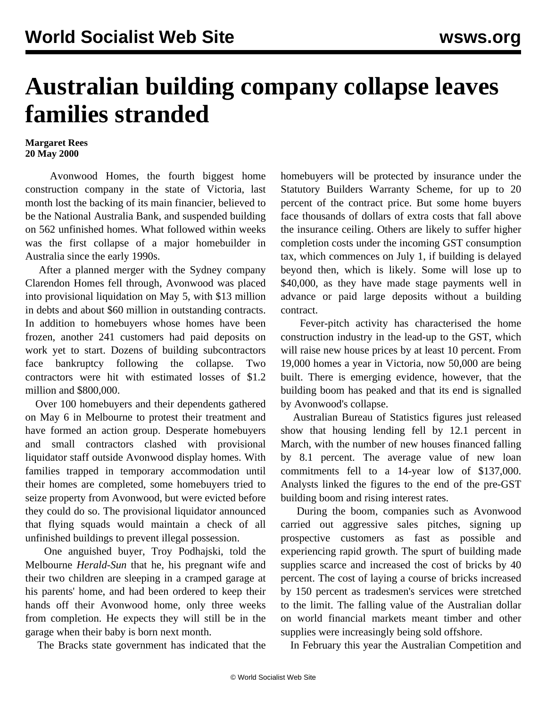## **Australian building company collapse leaves families stranded**

## **Margaret Rees 20 May 2000**

 Avonwood Homes, the fourth biggest home construction company in the state of Victoria, last month lost the backing of its main financier, believed to be the National Australia Bank, and suspended building on 562 unfinished homes. What followed within weeks was the first collapse of a major homebuilder in Australia since the early 1990s.

 After a planned merger with the Sydney company Clarendon Homes fell through, Avonwood was placed into provisional liquidation on May 5, with \$13 million in debts and about \$60 million in outstanding contracts. In addition to homebuyers whose homes have been frozen, another 241 customers had paid deposits on work yet to start. Dozens of building subcontractors face bankruptcy following the collapse. Two contractors were hit with estimated losses of \$1.2 million and \$800,000.

 Over 100 homebuyers and their dependents gathered on May 6 in Melbourne to protest their treatment and have formed an action group. Desperate homebuyers and small contractors clashed with provisional liquidator staff outside Avonwood display homes. With families trapped in temporary accommodation until their homes are completed, some homebuyers tried to seize property from Avonwood, but were evicted before they could do so. The provisional liquidator announced that flying squads would maintain a check of all unfinished buildings to prevent illegal possession.

 One anguished buyer, Troy Podhajski, told the Melbourne *Herald-Sun* that he, his pregnant wife and their two children are sleeping in a cramped garage at his parents' home, and had been ordered to keep their hands off their Avonwood home, only three weeks from completion. He expects they will still be in the garage when their baby is born next month.

The Bracks state government has indicated that the

homebuyers will be protected by insurance under the Statutory Builders Warranty Scheme, for up to 20 percent of the contract price. But some home buyers face thousands of dollars of extra costs that fall above the insurance ceiling. Others are likely to suffer higher completion costs under the incoming GST consumption tax, which commences on July 1, if building is delayed beyond then, which is likely. Some will lose up to \$40,000, as they have made stage payments well in advance or paid large deposits without a building contract.

 Fever-pitch activity has characterised the home construction industry in the lead-up to the GST, which will raise new house prices by at least 10 percent. From 19,000 homes a year in Victoria, now 50,000 are being built. There is emerging evidence, however, that the building boom has peaked and that its end is signalled by Avonwood's collapse.

 Australian Bureau of Statistics figures just released show that housing lending fell by 12.1 percent in March, with the number of new houses financed falling by 8.1 percent. The average value of new loan commitments fell to a 14-year low of \$137,000. Analysts linked the figures to the end of the pre-GST building boom and rising interest rates.

 During the boom, companies such as Avonwood carried out aggressive sales pitches, signing up prospective customers as fast as possible and experiencing rapid growth. The spurt of building made supplies scarce and increased the cost of bricks by 40 percent. The cost of laying a course of bricks increased by 150 percent as tradesmen's services were stretched to the limit. The falling value of the Australian dollar on world financial markets meant timber and other supplies were increasingly being sold offshore.

In February this year the Australian Competition and